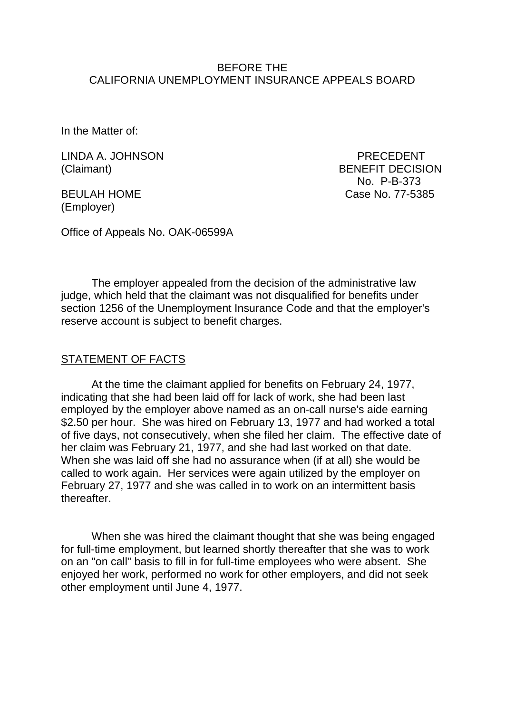#### BEFORE THE CALIFORNIA UNEMPLOYMENT INSURANCE APPEALS BOARD

In the Matter of:

LINDA A. JOHNSON PRECEDENT

(Employer)

(Claimant) BENEFIT DECISION No. P-B-373 BEULAH HOME Case No. 77-5385

Office of Appeals No. OAK-06599A

The employer appealed from the decision of the administrative law judge, which held that the claimant was not disqualified for benefits under section 1256 of the Unemployment Insurance Code and that the employer's reserve account is subject to benefit charges.

#### STATEMENT OF FACTS

At the time the claimant applied for benefits on February 24, 1977, indicating that she had been laid off for lack of work, she had been last employed by the employer above named as an on-call nurse's aide earning \$2.50 per hour. She was hired on February 13, 1977 and had worked a total of five days, not consecutively, when she filed her claim. The effective date of her claim was February 21, 1977, and she had last worked on that date. When she was laid off she had no assurance when (if at all) she would be called to work again. Her services were again utilized by the employer on February 27, 1977 and she was called in to work on an intermittent basis thereafter.

When she was hired the claimant thought that she was being engaged for full-time employment, but learned shortly thereafter that she was to work on an "on call" basis to fill in for full-time employees who were absent. She enjoyed her work, performed no work for other employers, and did not seek other employment until June 4, 1977.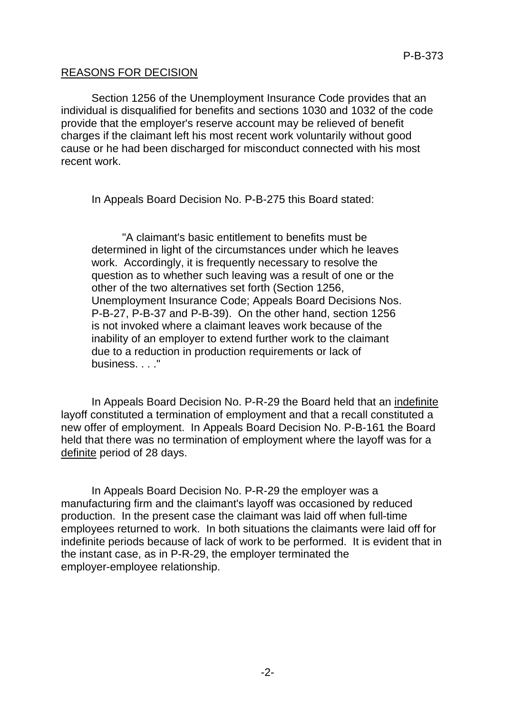## REASONS FOR DECISION

Section 1256 of the Unemployment Insurance Code provides that an individual is disqualified for benefits and sections 1030 and 1032 of the code provide that the employer's reserve account may be relieved of benefit charges if the claimant left his most recent work voluntarily without good cause or he had been discharged for misconduct connected with his most recent work.

In Appeals Board Decision No. P-B-275 this Board stated:

"A claimant's basic entitlement to benefits must be determined in light of the circumstances under which he leaves work. Accordingly, it is frequently necessary to resolve the question as to whether such leaving was a result of one or the other of the two alternatives set forth (Section 1256, Unemployment Insurance Code; Appeals Board Decisions Nos. P-B-27, P-B-37 and P-B-39). On the other hand, section 1256 is not invoked where a claimant leaves work because of the inability of an employer to extend further work to the claimant due to a reduction in production requirements or lack of business. . . ."

In Appeals Board Decision No. P-R-29 the Board held that an indefinite layoff constituted a termination of employment and that a recall constituted a new offer of employment. In Appeals Board Decision No. P-B-161 the Board held that there was no termination of employment where the layoff was for a definite period of 28 days.

In Appeals Board Decision No. P-R-29 the employer was a manufacturing firm and the claimant's layoff was occasioned by reduced production. In the present case the claimant was laid off when full-time employees returned to work. In both situations the claimants were laid off for indefinite periods because of lack of work to be performed. It is evident that in the instant case, as in P-R-29, the employer terminated the employer-employee relationship.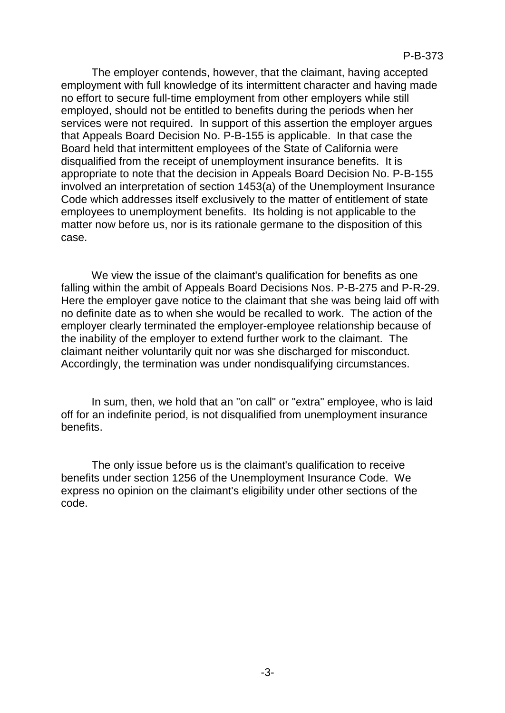The employer contends, however, that the claimant, having accepted employment with full knowledge of its intermittent character and having made no effort to secure full-time employment from other employers while still employed, should not be entitled to benefits during the periods when her services were not required. In support of this assertion the employer argues that Appeals Board Decision No. P-B-155 is applicable. In that case the Board held that intermittent employees of the State of California were disqualified from the receipt of unemployment insurance benefits. It is appropriate to note that the decision in Appeals Board Decision No. P-B-155 involved an interpretation of section 1453(a) of the Unemployment Insurance Code which addresses itself exclusively to the matter of entitlement of state employees to unemployment benefits. Its holding is not applicable to the matter now before us, nor is its rationale germane to the disposition of this case.

We view the issue of the claimant's qualification for benefits as one falling within the ambit of Appeals Board Decisions Nos. P-B-275 and P-R-29. Here the employer gave notice to the claimant that she was being laid off with no definite date as to when she would be recalled to work. The action of the employer clearly terminated the employer-employee relationship because of the inability of the employer to extend further work to the claimant. The claimant neither voluntarily quit nor was she discharged for misconduct. Accordingly, the termination was under nondisqualifying circumstances.

In sum, then, we hold that an "on call" or "extra" employee, who is laid off for an indefinite period, is not disqualified from unemployment insurance benefits.

The only issue before us is the claimant's qualification to receive benefits under section 1256 of the Unemployment Insurance Code. We express no opinion on the claimant's eligibility under other sections of the code.